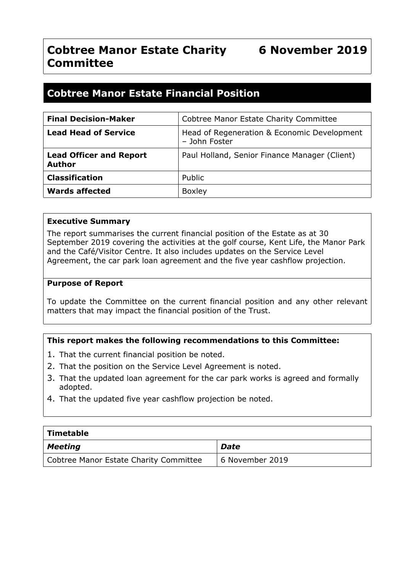# **Cobtree Manor Estate Financial Position**

| <b>Final Decision-Maker</b>                     | Cobtree Manor Estate Charity Committee                       |
|-------------------------------------------------|--------------------------------------------------------------|
| <b>Lead Head of Service</b>                     | Head of Regeneration & Economic Development<br>- John Foster |
| <b>Lead Officer and Report</b><br><b>Author</b> | Paul Holland, Senior Finance Manager (Client)                |
| <b>Classification</b>                           | Public                                                       |
| <b>Wards affected</b>                           | <b>Boxley</b>                                                |

#### **Executive Summary**

The report summarises the current financial position of the Estate as at 30 September 2019 covering the activities at the golf course, Kent Life, the Manor Park and the Café/Visitor Centre. It also includes updates on the Service Level Agreement, the car park loan agreement and the five year cashflow projection.

#### **Purpose of Report**

To update the Committee on the current financial position and any other relevant matters that may impact the financial position of the Trust.

#### **This report makes the following recommendations to this Committee:**

- 1. That the current financial position be noted.
- 2. That the position on the Service Level Agreement is noted.
- 3. That the updated loan agreement for the car park works is agreed and formally adopted.
- 4. That the updated five year cashflow projection be noted.

| $\mid$ Timetable                       |                 |  |  |  |  |
|----------------------------------------|-----------------|--|--|--|--|
| $\vert$ Meeting                        | Date            |  |  |  |  |
| Cobtree Manor Estate Charity Committee | 6 November 2019 |  |  |  |  |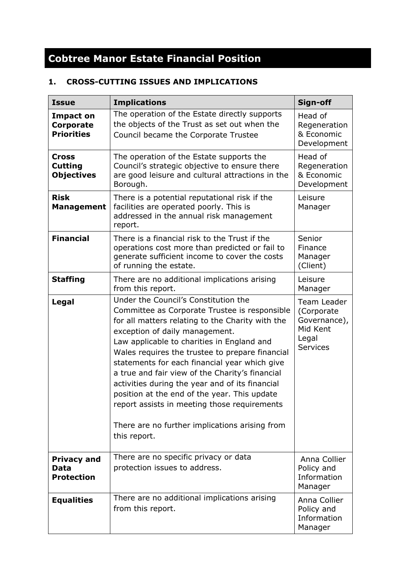# **Cobtree Manor Estate Financial Position**

# **1. CROSS-CUTTING ISSUES AND IMPLICATIONS**

| <b>Issue</b>                                              | <b>Implications</b>                                                                                                                                                                                                                                                                                                                                                                                                                                                                                                                                                                                   | Sign-off                                                                          |
|-----------------------------------------------------------|-------------------------------------------------------------------------------------------------------------------------------------------------------------------------------------------------------------------------------------------------------------------------------------------------------------------------------------------------------------------------------------------------------------------------------------------------------------------------------------------------------------------------------------------------------------------------------------------------------|-----------------------------------------------------------------------------------|
| <b>Impact on</b><br><b>Corporate</b><br><b>Priorities</b> | The operation of the Estate directly supports<br>the objects of the Trust as set out when the<br>Council became the Corporate Trustee                                                                                                                                                                                                                                                                                                                                                                                                                                                                 | Head of<br>Regeneration<br>& Economic<br>Development                              |
| <b>Cross</b><br><b>Cutting</b><br><b>Objectives</b>       | The operation of the Estate supports the<br>Council's strategic objective to ensure there<br>are good leisure and cultural attractions in the<br>Borough.                                                                                                                                                                                                                                                                                                                                                                                                                                             | Head of<br>Regeneration<br>& Economic<br>Development                              |
| <b>Risk</b><br><b>Management</b>                          | There is a potential reputational risk if the<br>facilities are operated poorly. This is<br>addressed in the annual risk management<br>report.                                                                                                                                                                                                                                                                                                                                                                                                                                                        | Leisure<br>Manager                                                                |
| <b>Financial</b>                                          | There is a financial risk to the Trust if the<br>operations cost more than predicted or fail to<br>generate sufficient income to cover the costs<br>of running the estate.                                                                                                                                                                                                                                                                                                                                                                                                                            | Senior<br>Finance<br>Manager<br>(Client)                                          |
| <b>Staffing</b>                                           | There are no additional implications arising<br>from this report.                                                                                                                                                                                                                                                                                                                                                                                                                                                                                                                                     | Leisure<br>Manager                                                                |
| Legal                                                     | Under the Council's Constitution the<br>Committee as Corporate Trustee is responsible<br>for all matters relating to the Charity with the<br>exception of daily management.<br>Law applicable to charities in England and<br>Wales requires the trustee to prepare financial<br>statements for each financial year which give<br>a true and fair view of the Charity's financial<br>activities during the year and of its financial<br>position at the end of the year. This update<br>report assists in meeting those requirements<br>There are no further implications arising from<br>this report. | Team Leader<br>(Corporate<br>Governance),<br>Mid Kent<br>Legal<br><b>Services</b> |
| <b>Privacy and</b><br>Data<br><b>Protection</b>           | There are no specific privacy or data<br>protection issues to address.                                                                                                                                                                                                                                                                                                                                                                                                                                                                                                                                | Anna Collier<br>Policy and<br>Information<br>Manager                              |
| <b>Equalities</b>                                         | There are no additional implications arising<br>from this report.                                                                                                                                                                                                                                                                                                                                                                                                                                                                                                                                     | Anna Collier<br>Policy and<br>Information<br>Manager                              |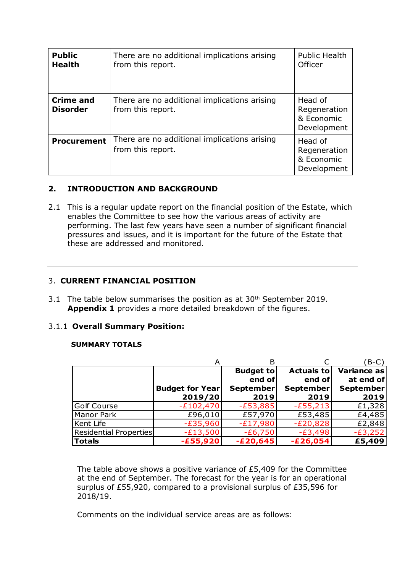| <b>Public</b><br><b>Health</b>      | There are no additional implications arising<br>from this report. | <b>Public Health</b><br>Officer                      |
|-------------------------------------|-------------------------------------------------------------------|------------------------------------------------------|
| <b>Crime and</b><br><b>Disorder</b> | There are no additional implications arising<br>from this report. | Head of<br>Regeneration<br>& Economic<br>Development |
| <b>Procurement</b>                  | There are no additional implications arising<br>from this report. | Head of<br>Regeneration<br>& Economic<br>Development |

#### **2. INTRODUCTION AND BACKGROUND**

2.1 This is a regular update report on the financial position of the Estate, which enables the Committee to see how the various areas of activity are performing. The last few years have seen a number of significant financial pressures and issues, and it is important for the future of the Estate that these are addressed and monitored.

#### 3. **CURRENT FINANCIAL POSITION**

3.1 The table below summarises the position as at 30<sup>th</sup> September 2019. **Appendix 1** provides a more detailed breakdown of the figures.

#### 3.1.1 **Overall Summary Position:**

#### **SUMMARY TOTALS**

|                        | А                                 |                            |                              | (B-C)                    |
|------------------------|-----------------------------------|----------------------------|------------------------------|--------------------------|
|                        |                                   | <b>Budget to</b><br>end of | <b>Actuals tol</b><br>end of | Variance as<br>at end of |
|                        | <b>Budget for Year</b><br>2019/20 | September<br>2019          | September<br>2019            | <b>September</b><br>2019 |
| <b>Golf Course</b>     | $-E102,470$                       | $-E53,885$                 | $-E55,213$                   | £1,328                   |
| Manor Park             | £96,010                           | £57,970                    | £53,485                      | £4,485                   |
| Kent Life              | $-E35,960$                        | $-E17,980$                 | $-E20,828$                   | £2,848                   |
| Residential Properties | $-E13,500$                        | $-E6,750$                  | $-E3,498$                    | $-E3,252$                |
| <b>Totals</b>          | $-£55,920$                        | $-E20,645$                 | $-E26,054$                   | £5,409                   |

The table above shows a positive variance of £5,409 for the Committee at the end of September. The forecast for the year is for an operational surplus of £55,920, compared to a provisional surplus of £35,596 for 2018/19.

Comments on the individual service areas are as follows: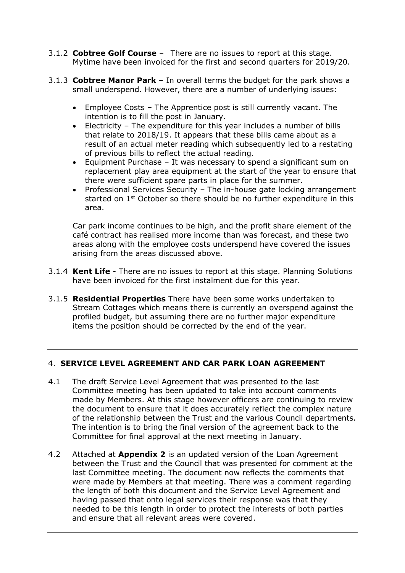- 3.1.2 **Cobtree Golf Course** There are no issues to report at this stage. Mytime have been invoiced for the first and second quarters for 2019/20.
- 3.1.3 **Cobtree Manor Park** In overall terms the budget for the park shows a small underspend. However, there are a number of underlying issues:
	- Employee Costs The Apprentice post is still currently vacant. The intention is to fill the post in January.
	- Electricity The expenditure for this year includes a number of bills that relate to 2018/19. It appears that these bills came about as a result of an actual meter reading which subsequently led to a restating of previous bills to reflect the actual reading.
	- Equipment Purchase It was necessary to spend a significant sum on replacement play area equipment at the start of the year to ensure that there were sufficient spare parts in place for the summer.
	- Professional Services Security The in-house gate locking arrangement started on 1<sup>st</sup> October so there should be no further expenditure in this area.

Car park income continues to be high, and the profit share element of the café contract has realised more income than was forecast, and these two areas along with the employee costs underspend have covered the issues arising from the areas discussed above.

- 3.1.4 **Kent Life** There are no issues to report at this stage. Planning Solutions have been invoiced for the first instalment due for this year.
- 3.1.5 **Residential Properties** There have been some works undertaken to Stream Cottages which means there is currently an overspend against the profiled budget, but assuming there are no further major expenditure items the position should be corrected by the end of the year.

### 4. **SERVICE LEVEL AGREEMENT AND CAR PARK LOAN AGREEMENT**

- 4.1 The draft Service Level Agreement that was presented to the last Committee meeting has been updated to take into account comments made by Members. At this stage however officers are continuing to review the document to ensure that it does accurately reflect the complex nature of the relationship between the Trust and the various Council departments. The intention is to bring the final version of the agreement back to the Committee for final approval at the next meeting in January.
- 4.2 Attached at **Appendix 2** is an updated version of the Loan Agreement between the Trust and the Council that was presented for comment at the last Committee meeting. The document now reflects the comments that were made by Members at that meeting. There was a comment regarding the length of both this document and the Service Level Agreement and having passed that onto legal services their response was that they needed to be this length in order to protect the interests of both parties and ensure that all relevant areas were covered.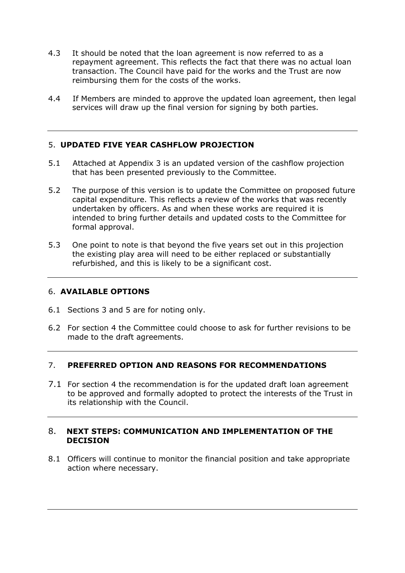- 4.3 It should be noted that the loan agreement is now referred to as a repayment agreement. This reflects the fact that there was no actual loan transaction. The Council have paid for the works and the Trust are now reimbursing them for the costs of the works.
- 4.4 If Members are minded to approve the updated loan agreement, then legal services will draw up the final version for signing by both parties.

#### 5. **UPDATED FIVE YEAR CASHFLOW PROJECTION**

- 5.1 Attached at Appendix 3 is an updated version of the cashflow projection that has been presented previously to the Committee.
- 5.2 The purpose of this version is to update the Committee on proposed future capital expenditure. This reflects a review of the works that was recently undertaken by officers. As and when these works are required it is intended to bring further details and updated costs to the Committee for formal approval.
- 5.3 One point to note is that beyond the five years set out in this projection the existing play area will need to be either replaced or substantially refurbished, and this is likely to be a significant cost.

#### 6. **AVAILABLE OPTIONS**

- 6.1 Sections 3 and 5 are for noting only.
- 6.2 For section 4 the Committee could choose to ask for further revisions to be made to the draft agreements.

#### 7. **PREFERRED OPTION AND REASONS FOR RECOMMENDATIONS**

7.1 For section 4 the recommendation is for the updated draft loan agreement to be approved and formally adopted to protect the interests of the Trust in its relationship with the Council.

#### 8. **NEXT STEPS: COMMUNICATION AND IMPLEMENTATION OF THE DECISION**

8.1 Officers will continue to monitor the financial position and take appropriate action where necessary.